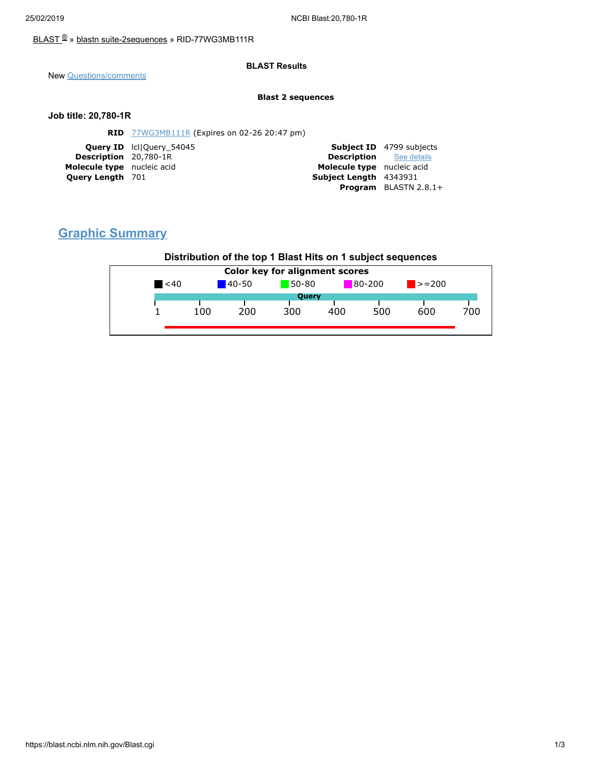### [BLAST](https://blast.ncbi.nlm.nih.gov/Blast.cgi) ® » blastn [suite-2sequences](https://blast.ncbi.nlm.nih.gov/Blast.cgi?PAGE=MegaBlast&PROGRAM=blastn&PAGE_TYPE=BlastSearch&BLAST_SPEC=blast2seq) » RID-77WG3MB111R

### **BLAST Results**

New [Questions/comments](https://support.nlm.nih.gov/knowledgebase/category/?id=CAT-01239)

#### **Blast 2 sequences**

### **Job title: 20,780-1R**

| <b>RID</b> 77WG3MB111R (Expires on 02-26 20:47 pm) |                                                                                                                          |                                 |
|----------------------------------------------------|--------------------------------------------------------------------------------------------------------------------------|---------------------------------|
|                                                    |                                                                                                                          | <b>Subject ID</b> 4799 subjects |
|                                                    | <b>Description</b> See details                                                                                           |                                 |
|                                                    | Molecule type nucleic acid                                                                                               |                                 |
|                                                    | Subject Length 4343931                                                                                                   |                                 |
|                                                    |                                                                                                                          | <b>Program</b> BLASTN $2.8.1+$  |
|                                                    | <b>Query ID</b> IcllOuery 54045<br><b>Description</b> 20,780-1R<br>Molecule type nucleic acid<br><b>Query Length 701</b> |                                 |

# **Graphic Summary**

## **Distribution of the top 1 Blast Hits on 1 subject sequences**

| $80 - 200$<br>$50-80$<br>$\leq 40$<br>$140 - 50$<br>Query | $\blacktriangleright$ = 200 |     |
|-----------------------------------------------------------|-----------------------------|-----|
|                                                           |                             |     |
|                                                           |                             |     |
| 500<br>200<br>400<br>100<br>300                           | 600                         | 700 |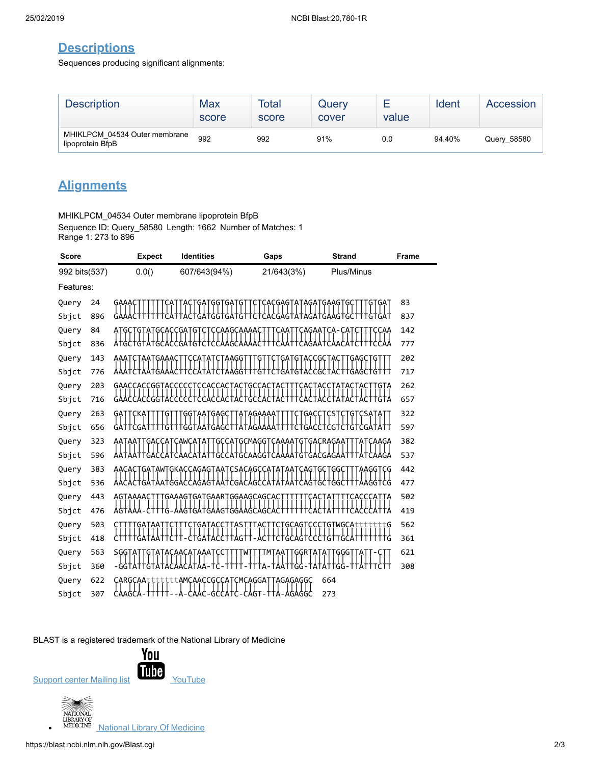## **Descriptions**

Sequences producing significant alignments:

| <b>Description</b>                                | Max<br>score | <b>Total</b><br>score | Query<br>cover | value | Ident  | Accession   |
|---------------------------------------------------|--------------|-----------------------|----------------|-------|--------|-------------|
| MHIKLPCM 04534 Outer membrane<br>lipoprotein BfpB | 992          | 992                   | 91%            | 0.0   | 94.40% | Query 58580 |

# **Alignments**

MHIKLPCM\_04534 Outer membrane lipoprotein BfpB Sequence ID: Query\_58580 Length: 1662 Number of Matches: 1 Range 1: 273 to 896

| <b>Score</b>  |     | <b>Expect</b>                          | <b>Identities</b>        | Gaps                                          | <b>Strand</b>               | Frame |
|---------------|-----|----------------------------------------|--------------------------|-----------------------------------------------|-----------------------------|-------|
| 992 bits(537) |     | 0.0()                                  | 607/643(94%)             | 21/643(3%)                                    | Plus/Minus                  |       |
| Features:     |     |                                        |                          |                                               |                             |       |
| Query         | 24  |                                        |                          |                                               |                             | 83    |
| Sbjct         | 896 |                                        |                          |                                               |                             | 837   |
| Query         | 84  | ATGC<br>GT.<br>ATGCACCGAT <sup>.</sup> | CCAAGCAAAAC<br>G.        | CAAT                                          | CAGAATCA-CAT<br><b>CCAA</b> | 142   |
| Sbjct         | 836 |                                        | G                        |                                               |                             | 777   |
| Query         | 143 | aaa                                    |                          |                                               |                             | 202   |
| Sbjct         | 776 |                                        |                          |                                               |                             | 717   |
| Query         | 203 | GAACCAC                                |                          |                                               |                             | 262   |
| Sbjct         | 716 |                                        |                          |                                               |                             | 657   |
| Query         | 263 |                                        |                          | AGAAAA                                        |                             | 322   |
| Sbjct         | 656 |                                        |                          |                                               |                             | 597   |
| Query         | 323 | AATAAT                                 |                          | TGACCATCAWCATATTGCCATGCMAGGTCAAAATGTGACRAGAAT | TATCAAGA                    | 382   |
| Sbjct         | 596 |                                        |                          | GCAAGG                                        |                             | 537   |
| Query         | 383 | AACA<br>GATAW                          | TGKACCAGAGTAAT           | CSACAGCCAT<br>G                               | AGGTCG                      | 442   |
| Sbjct         | 536 |                                        | ۱GT                      |                                               |                             | 477   |
| Query         | 443 | AGTAAAAC                               | GAAAGTGATGAARTGGAAGCAGCA |                                               |                             | 502   |
| Sbjct         | 476 |                                        | GAAGTGGAA                |                                               |                             | 419   |
| Query         | 503 |                                        |                          | CAG                                           | <b>WGCA</b><br>Ģ            | 562   |
| Sbjct         | 418 |                                        |                          |                                               |                             | 361   |
| Query         | 563 | SĢĢŢĀ                                  | CAACATAAAT               | TMȚẠA1<br>·ϙϙͱϯϻ                              | Ą<br>ĢĢG                    | 621   |
| Sbjct         | 360 |                                        |                          |                                               |                             | 308   |
| Query         | 622 | CARGCAAtttt                            |                          | tttAMCAACCGCCATCMCAGGATTAGAGAGGC              | 664                         |       |
| Sbjct         | 307 | ι ` AAGCΑ                              | GCCATC-                  | CAGT-TTA-AGAGGC                               | 273                         |       |

BLAST is a registered trademark of the National Library of Medicine



 $\bullet$